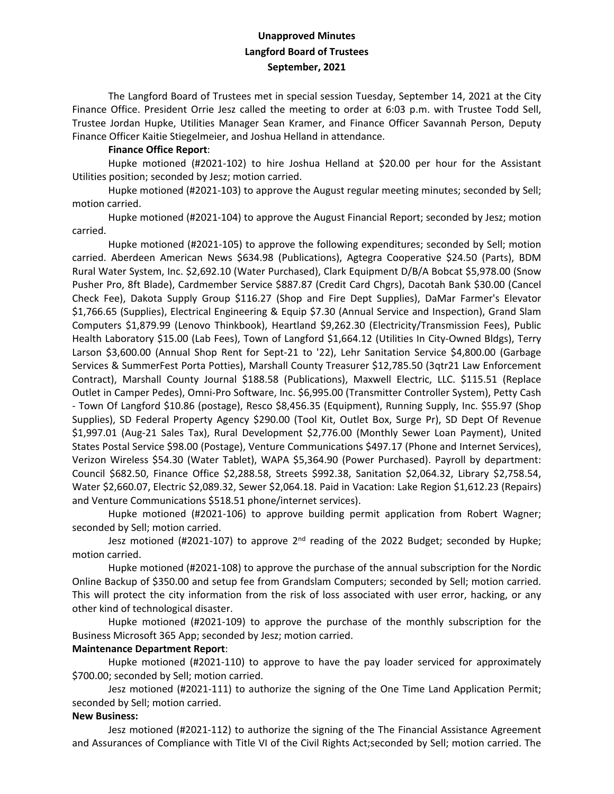## **Unapproved Minutes Langford Board of Trustees September, 2021**

The Langford Board of Trustees met in special session Tuesday, September 14, 2021 at the City Finance Office. President Orrie Jesz called the meeting to order at 6:03 p.m. with Trustee Todd Sell, Trustee Jordan Hupke, Utilities Manager Sean Kramer, and Finance Officer Savannah Person, Deputy Finance Officer Kaitie Stiegelmeier, and Joshua Helland in attendance.

## **Finance Office Report**:

Hupke motioned (#2021-102) to hire Joshua Helland at \$20.00 per hour for the Assistant Utilities position; seconded by Jesz; motion carried.

Hupke motioned (#2021-103) to approve the August regular meeting minutes; seconded by Sell; motion carried.

Hupke motioned (#2021-104) to approve the August Financial Report; seconded by Jesz; motion carried.

Hupke motioned (#2021-105) to approve the following expenditures; seconded by Sell; motion carried. Aberdeen American News \$634.98 (Publications), Agtegra Cooperative \$24.50 (Parts), BDM Rural Water System, Inc. \$2,692.10 (Water Purchased), Clark Equipment D/B/A Bobcat \$5,978.00 (Snow Pusher Pro, 8ft Blade), Cardmember Service \$887.87 (Credit Card Chgrs), Dacotah Bank \$30.00 (Cancel Check Fee), Dakota Supply Group \$116.27 (Shop and Fire Dept Supplies), DaMar Farmer's Elevator \$1,766.65 (Supplies), Electrical Engineering & Equip \$7.30 (Annual Service and Inspection), Grand Slam Computers \$1,879.99 (Lenovo Thinkbook), Heartland \$9,262.30 (Electricity/Transmission Fees), Public Health Laboratory \$15.00 (Lab Fees), Town of Langford \$1,664.12 (Utilities In City-Owned Bldgs), Terry Larson \$3,600.00 (Annual Shop Rent for Sept-21 to '22), Lehr Sanitation Service \$4,800.00 (Garbage Services & SummerFest Porta Potties), Marshall County Treasurer \$12,785.50 (3qtr21 Law Enforcement Contract), Marshall County Journal \$188.58 (Publications), Maxwell Electric, LLC. \$115.51 (Replace Outlet in Camper Pedes), Omni-Pro Software, Inc. \$6,995.00 (Transmitter Controller System), Petty Cash - Town Of Langford \$10.86 (postage), Resco \$8,456.35 (Equipment), Running Supply, Inc. \$55.97 (Shop Supplies), SD Federal Property Agency \$290.00 (Tool Kit, Outlet Box, Surge Pr), SD Dept Of Revenue \$1,997.01 (Aug-21 Sales Tax), Rural Development \$2,776.00 (Monthly Sewer Loan Payment), United States Postal Service \$98.00 (Postage), Venture Communications \$497.17 (Phone and Internet Services), Verizon Wireless \$54.30 (Water Tablet), WAPA \$5,364.90 (Power Purchased). Payroll by department: Council \$682.50, Finance Office \$2,288.58, Streets \$992.38, Sanitation \$2,064.32, Library \$2,758.54, Water \$2,660.07, Electric \$2,089.32, Sewer \$2,064.18. Paid in Vacation: Lake Region \$1,612.23 (Repairs) and Venture Communications \$518.51 phone/internet services).

Hupke motioned (#2021-106) to approve building permit application from Robert Wagner; seconded by Sell; motion carried.

Jesz motioned (#2021-107) to approve 2<sup>nd</sup> reading of the 2022 Budget; seconded by Hupke; motion carried.

Hupke motioned (#2021-108) to approve the purchase of the annual subscription for the Nordic Online Backup of \$350.00 and setup fee from Grandslam Computers; seconded by Sell; motion carried. This will protect the city information from the risk of loss associated with user error, hacking, or any other kind of technological disaster.

Hupke motioned (#2021-109) to approve the purchase of the monthly subscription for the Business Microsoft 365 App; seconded by Jesz; motion carried.

## **Maintenance Department Report**:

Hupke motioned (#2021-110) to approve to have the pay loader serviced for approximately \$700.00; seconded by Sell; motion carried.

Jesz motioned (#2021-111) to authorize the signing of the One Time Land Application Permit; seconded by Sell; motion carried.

## **New Business:**

Jesz motioned (#2021-112) to authorize the signing of the The Financial Assistance Agreement and Assurances of Compliance with Title VI of the Civil Rights Act;seconded by Sell; motion carried. The